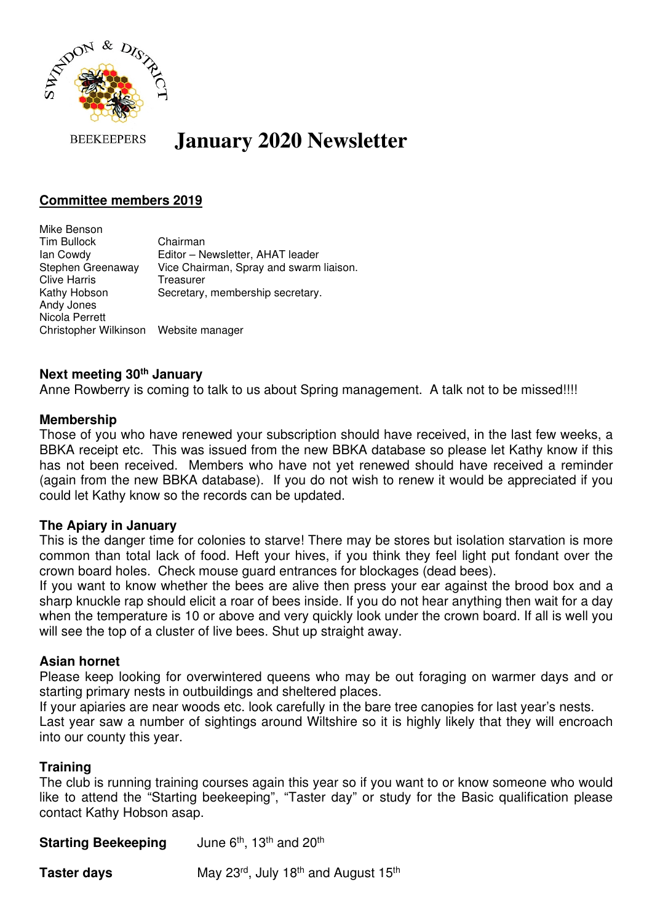

#### **BEEKEEPERS January 2020 Newsletter**

# **Committee members 2019**

Mike Benson Tim Bullock Chairman Ian Cowdy Editor – Newsletter, AHAT leader Stephen Greenaway Vice Chairman, Spray and swarm liaison. Clive Harris Treasurer Kathy Hobson Secretary, membership secretary. Andy Jones Nicola Perrett Christopher Wilkinson Website manager

# **Next meeting 30th January**

Anne Rowberry is coming to talk to us about Spring management. A talk not to be missed!!!!

# **Membership**

Those of you who have renewed your subscription should have received, in the last few weeks, a BBKA receipt etc. This was issued from the new BBKA database so please let Kathy know if this has not been received. Members who have not yet renewed should have received a reminder (again from the new BBKA database). If you do not wish to renew it would be appreciated if you could let Kathy know so the records can be updated.

# **The Apiary in January**

This is the danger time for colonies to starve! There may be stores but isolation starvation is more common than total lack of food. Heft your hives, if you think they feel light put fondant over the crown board holes. Check mouse guard entrances for blockages (dead bees).

If you want to know whether the bees are alive then press your ear against the brood box and a sharp knuckle rap should elicit a roar of bees inside. If you do not hear anything then wait for a day when the temperature is 10 or above and very quickly look under the crown board. If all is well you will see the top of a cluster of live bees. Shut up straight away.

# **Asian hornet**

Please keep looking for overwintered queens who may be out foraging on warmer days and or starting primary nests in outbuildings and sheltered places.

If your apiaries are near woods etc. look carefully in the bare tree canopies for last year's nests.

Last year saw a number of sightings around Wiltshire so it is highly likely that they will encroach into our county this year.

# **Training**

The club is running training courses again this year so if you want to or know someone who would like to attend the "Starting beekeeping", "Taster day" or study for the Basic qualification please contact Kathy Hobson asap.

**Starting Beekeeping** June 6<sup>th</sup>, 13<sup>th</sup> and 20<sup>th</sup>

| Taster days | May 23rd, July 18th and August 15th |  |
|-------------|-------------------------------------|--|
|             |                                     |  |